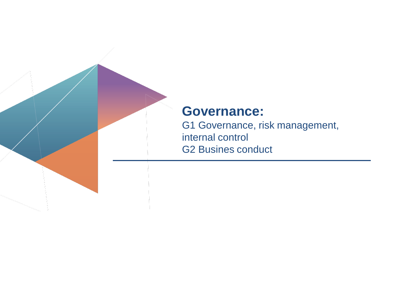

## **Governance:**

G1 Governance, risk management, internal control G2 Busines conduct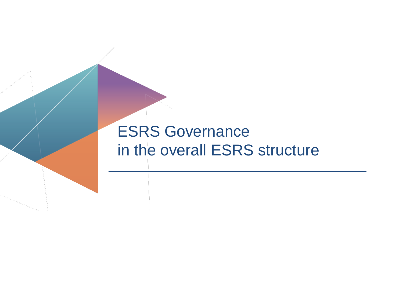# ESRS Governance in the overall ESRS structure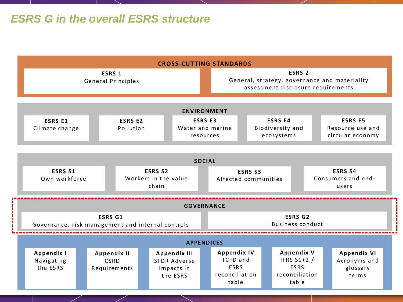## *ESRS G in the overall ESRS structure*

|                    | <b>CROSS-CUTTING STANDARDS</b>                                      |                                                 |                                            |  |                                                                      |  |                                                                                                          |                                                  |                                                                            |  |                                                        |                                                         |  |
|--------------------|---------------------------------------------------------------------|-------------------------------------------------|--------------------------------------------|--|----------------------------------------------------------------------|--|----------------------------------------------------------------------------------------------------------|--------------------------------------------------|----------------------------------------------------------------------------|--|--------------------------------------------------------|---------------------------------------------------------|--|
|                    | ESRS 1<br><b>General Principles</b>                                 |                                                 |                                            |  |                                                                      |  | ESRS <sub>2</sub><br>General, strategy, governance and materiality<br>assessment disclosure requirements |                                                  |                                                                            |  |                                                        |                                                         |  |
| <b>ENVIRONMENT</b> |                                                                     |                                                 |                                            |  |                                                                      |  |                                                                                                          |                                                  |                                                                            |  |                                                        |                                                         |  |
|                    | <b>ESRS E1</b><br>Climate change                                    |                                                 | <b>ESRS E2</b><br>Pollution                |  | <b>ESRS E3</b><br>Water and marine<br>resources                      |  |                                                                                                          | <b>ESRS E4</b><br>Biodiversity and<br>ecosystems |                                                                            |  | <b>ESRS E5</b><br>Resource use and<br>circular economy |                                                         |  |
| <b>SOCIAL</b>      |                                                                     |                                                 |                                            |  |                                                                      |  |                                                                                                          |                                                  |                                                                            |  |                                                        |                                                         |  |
|                    | <b>ESRS S1</b><br>Own workforce                                     | <b>ESRS S2</b><br>Workers in the value<br>chain |                                            |  | <b>ESRS S3</b><br>Affected communities                               |  |                                                                                                          | <b>ESRS S4</b><br>Consumers and end-<br>users    |                                                                            |  |                                                        |                                                         |  |
| <b>GOVERNANCE</b>  |                                                                     |                                                 |                                            |  |                                                                      |  |                                                                                                          |                                                  |                                                                            |  |                                                        |                                                         |  |
|                    | <b>ESRS G1</b><br>Governance, risk management and internal controls |                                                 |                                            |  |                                                                      |  | <b>ESRS G2</b><br><b>Business conduct</b>                                                                |                                                  |                                                                            |  |                                                        |                                                         |  |
|                    | <b>APPENDICES</b>                                                   |                                                 |                                            |  |                                                                      |  |                                                                                                          |                                                  |                                                                            |  |                                                        |                                                         |  |
|                    | Appendix I<br>Navigating<br>the ESRS                                |                                                 | <b>Appendix II</b><br>CSRD<br>Requirements |  | <b>Appendix III</b><br><b>SFDR Adverse</b><br>Impacts in<br>the ESRS |  | <b>Appendix IV</b><br><b>TCFD</b> and<br><b>ESRS</b><br>reconciliation<br>table                          |                                                  | <b>Appendix V</b><br>IFRS S1+2 /<br><b>ESRS</b><br>reconciliation<br>table |  |                                                        | <b>Appendix VI</b><br>Acronyms and<br>glossary<br>terms |  |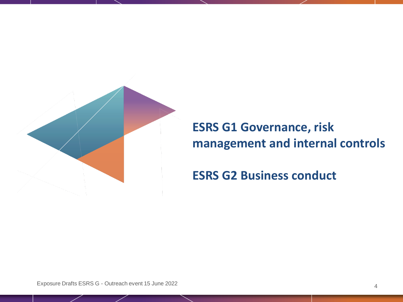

# **ESRS G1 Governance, risk management and internal controls**

## **ESRS G2 Business conduct**

Exposure Drafts ESRS G - Outreach event 15 June 2022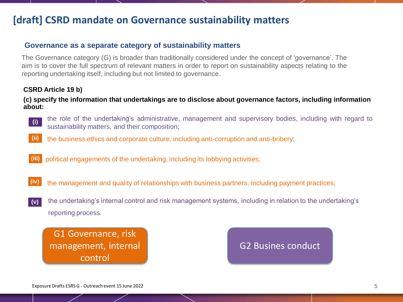## **[draft] CSRD mandate on Governance sustainability matters**

#### **Governance as a separate category of sustainability matters**

The Governance category (G) is broader than traditionally considered under the concept of 'governance'. The aim is to cover the full spectrum of relevant matters in order to report on sustainability aspects relating to the reporting undertaking itself, including but not limited to governance.

#### **CSRD Article 19 b)**

#### **(c) specify the information that undertakings are to disclose about governance factors, including information about:**

**(i)**

the role of the undertaking's administrative, management and supervisory bodies, including with regard to sustainability matters, and their composition;

- **(ii)** the business ethics and corporate culture, including anti-corruption and anti-bribery;
- **(iii)** political engagements of the undertaking, including its lobbying activities;
- **(iv)** the management and quality of relationships with business partners, including payment practices;
- the undertaking's internal control and risk management systems, including in relation to the undertaking's reporting process. **(v)**

G1 Governance, risk management, internal control

### G2 Busines conduct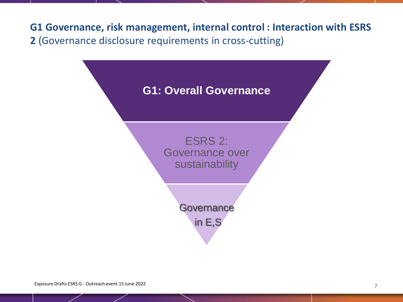**G1 Governance, risk management, internal control : Interaction with ESRS 2** (Governance disclosure requirements in cross-cutting)

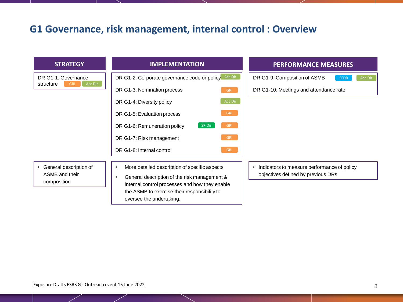## **G1 Governance, risk management, internal control : Overview**

| <b>STRATEGY</b>                                                      | <b>IMPLEMENTATION</b>                                                                                                                                                                                                                                                                                                                         | <b>PERFORMANCE MEASURES</b>                                                                      |  |  |  |  |  |
|----------------------------------------------------------------------|-----------------------------------------------------------------------------------------------------------------------------------------------------------------------------------------------------------------------------------------------------------------------------------------------------------------------------------------------|--------------------------------------------------------------------------------------------------|--|--|--|--|--|
| DR G1-1: Governance<br>Acc Dir<br>structure<br><b>GRI</b>            | Acc Dir<br>DR G1-2: Corporate governance code or policy<br>DR G1-3: Nomination process<br><b>GRI</b><br>Acc Dir<br>DR G1-4: Diversity policy<br><b>GRI</b><br>DR G1-5: Evaluation process<br><b>GRI</b><br>DR G1-6: Remuneration policy<br><b>SR Dir</b><br><b>GRI</b><br>DR G1-7: Risk management<br>DR G1-8: Internal control<br><b>GRI</b> | DR G1-9: Composition of ASMB<br>Acc Dir<br><b>SFDR</b><br>DR G1-10: Meetings and attendance rate |  |  |  |  |  |
| General description of<br>$\bullet$<br>ASMB and their<br>composition | More detailed description of specific aspects<br>$\bullet$<br>General description of the risk management &<br>$\bullet$<br>internal control processes and how they enable<br>the ASMB to exercise their responsibility to<br>oversee the undertaking.                                                                                         | Indicators to measure performance of policy<br>objectives defined by previous DRs                |  |  |  |  |  |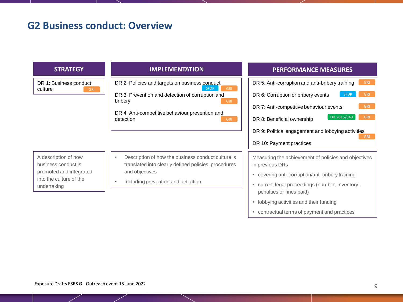### **G2 Business conduct: Overview**

DR 1: Business conduct culture

DR 2: Policies and targets on business conduct DR 3: Prevention and detection of corruption and bribery GRI SFDR GRI

> DR 4: Anti-competitive behaviour prevention and detection GRI

#### A description of how business conduct is promoted and integrated into the culture of the undertaking

- Description of how the business conduct culture is translated into clearly defined policies, procedures and objectives
- Including prevention and detection

#### **STRATEGY IMPLEMENTATION PERFORMANCE MEASURES**

DR 5: Anti-corruption and anti-bribery training DR 6: Corruption or bribery events DR 7: Anti-competitive behaviour events DR 8: Beneficial ownership DR 9: Political engagement and lobbying activities DR 10: Payment practices Dir 2015/849 **SFDR** 

Measuring the achievement of policies and objectives in previous DRs

- covering anti-corruption/anti-bribery training
- current legal proceedings (number, inventory, penalties or fines paid)
- lobbying activities and their funding
- contractual terms of payment and practices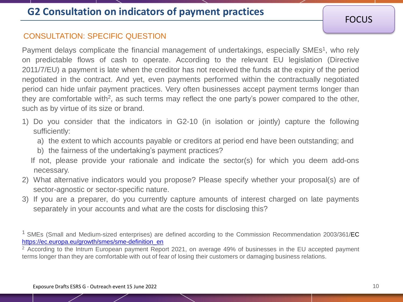## **G2 Consultation on indicators of payment practices**

**FOCUS** 

#### CONSULTATION: SPECIFIC QUESTION

Payment delays complicate the financial management of undertakings, especially SMEs<sup>1</sup>, who rely on predictable flows of cash to operate. According to the relevant EU legislation (Directive 2011/7/EU) a payment is late when the creditor has not received the funds at the expiry of the period negotiated in the contract. And yet, even payments performed within the contractually negotiated period can hide unfair payment practices. Very often businesses accept payment terms longer than they are comfortable with<sup>2</sup>, as such terms may reflect the one party's power compared to the other, such as by virtue of its size or brand.

- 1) Do you consider that the indicators in G2-10 (in isolation or jointly) capture the following sufficiently:
	- a) the extent to which accounts payable or creditors at period end have been outstanding; and
	- b) the fairness of the undertaking's payment practices?
	- If not, please provide your rationale and indicate the sector(s) for which you deem add-ons necessary.
- 2) What alternative indicators would you propose? Please specify whether your proposal(s) are of sector-agnostic or sector-specific nature.
- 3) If you are a preparer, do you currently capture amounts of interest charged on late payments separately in your accounts and what are the costs for disclosing this?

<sup>&</sup>lt;sup>1</sup> SMEs (Small and Medium-sized enterprises) are defined according to the Commission Recommendation 2003/361/EC [https://ec.europa.eu/growth/smes/sme-definition\\_en](https://ec.europa.eu/growth/smes/sme-definition_en)

<sup>&</sup>lt;sup>2</sup> According to the Intrum European payment Report 2021, on average 49% of businesses in the EU accepted payment terms longer than they are comfortable with out of fear of losing their customers or damaging business relations.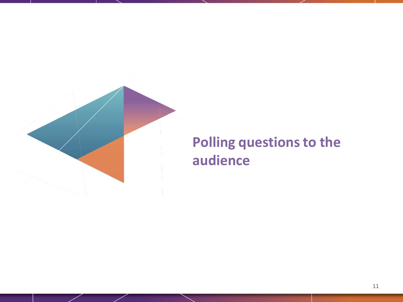

# **Polling questions to the audience**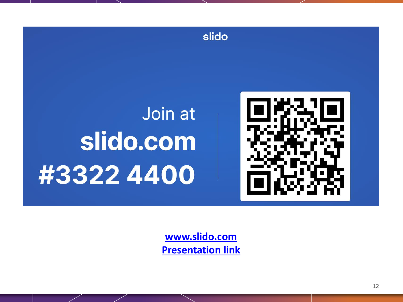

**[www.slido.com](http://www.slido.com/) [Presentation link](https://accounts.sli.do/invitations-link#key=9ef0cb38e1c06014c7235edb9e280194d7d6a6ee24e90ecbd8f8d35d4e28d327)**